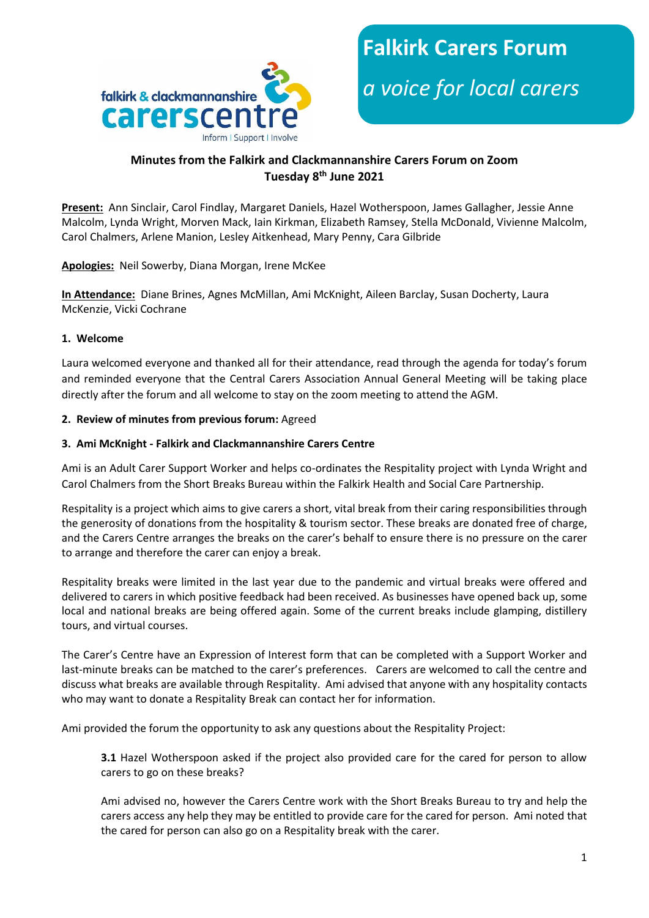



# **Minutes from the Falkirk and Clackmannanshire Carers Forum on Zoom Tuesday 8th June 2021**

**Present:** Ann Sinclair, Carol Findlay, Margaret Daniels, Hazel Wotherspoon, James Gallagher, Jessie Anne Malcolm, Lynda Wright, Morven Mack, Iain Kirkman, Elizabeth Ramsey, Stella McDonald, Vivienne Malcolm, Carol Chalmers, Arlene Manion, Lesley Aitkenhead, Mary Penny, Cara Gilbride

**Apologies:** Neil Sowerby, Diana Morgan, Irene McKee

**In Attendance:** Diane Brines, Agnes McMillan, Ami McKnight, Aileen Barclay, Susan Docherty, Laura McKenzie, Vicki Cochrane

## **1. Welcome**

Laura welcomed everyone and thanked all for their attendance, read through the agenda for today's forum and reminded everyone that the Central Carers Association Annual General Meeting will be taking place directly after the forum and all welcome to stay on the zoom meeting to attend the AGM.

### **2. Review of minutes from previous forum:** Agreed

### **3. Ami McKnight - Falkirk and Clackmannanshire Carers Centre**

Ami is an Adult Carer Support Worker and helps co-ordinates the Respitality project with Lynda Wright and Carol Chalmers from the Short Breaks Bureau within the Falkirk Health and Social Care Partnership.

Respitality is a project which aims to give carers a short, vital break from their caring responsibilities through the generosity of donations from the hospitality & tourism sector. These breaks are donated free of charge, and the Carers Centre arranges the breaks on the carer's behalf to ensure there is no pressure on the carer to arrange and therefore the carer can enjoy a break.

Respitality breaks were limited in the last year due to the pandemic and virtual breaks were offered and delivered to carers in which positive feedback had been received. As businesses have opened back up, some local and national breaks are being offered again. Some of the current breaks include glamping, distillery tours, and virtual courses.

The Carer's Centre have an Expression of Interest form that can be completed with a Support Worker and last-minute breaks can be matched to the carer's preferences. Carers are welcomed to call the centre and discuss what breaks are available through Respitality. Ami advised that anyone with any hospitality contacts who may want to donate a Respitality Break can contact her for information.

Ami provided the forum the opportunity to ask any questions about the Respitality Project:

**3.1** Hazel Wotherspoon asked if the project also provided care for the cared for person to allow carers to go on these breaks?

Ami advised no, however the Carers Centre work with the Short Breaks Bureau to try and help the carers access any help they may be entitled to provide care for the cared for person. Ami noted that the cared for person can also go on a Respitality break with the carer.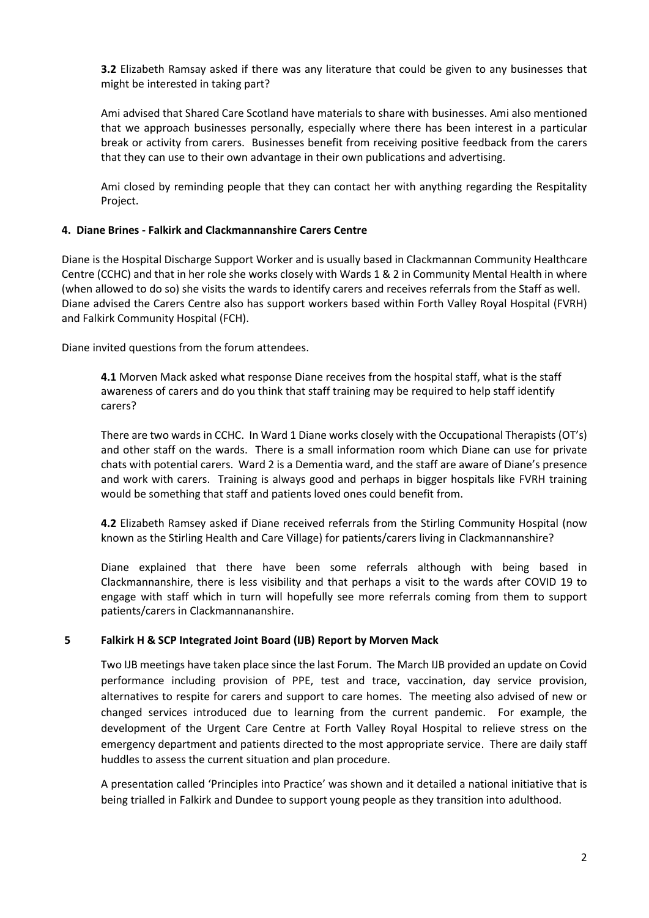**3.2** Elizabeth Ramsay asked if there was any literature that could be given to any businesses that might be interested in taking part?

Ami advised that Shared Care Scotland have materials to share with businesses. Ami also mentioned that we approach businesses personally, especially where there has been interest in a particular break or activity from carers. Businesses benefit from receiving positive feedback from the carers that they can use to their own advantage in their own publications and advertising.

Ami closed by reminding people that they can contact her with anything regarding the Respitality Project.

### **4. Diane Brines - Falkirk and Clackmannanshire Carers Centre**

Diane is the Hospital Discharge Support Worker and is usually based in Clackmannan Community Healthcare Centre (CCHC) and that in her role she works closely with Wards 1 & 2 in Community Mental Health in where (when allowed to do so) she visits the wards to identify carers and receives referrals from the Staff as well. Diane advised the Carers Centre also has support workers based within Forth Valley Royal Hospital (FVRH) and Falkirk Community Hospital (FCH).

Diane invited questions from the forum attendees.

**4.1** Morven Mack asked what response Diane receives from the hospital staff, what is the staff awareness of carers and do you think that staff training may be required to help staff identify carers?

There are two wards in CCHC. In Ward 1 Diane works closely with the Occupational Therapists (OT's) and other staff on the wards. There is a small information room which Diane can use for private chats with potential carers. Ward 2 is a Dementia ward, and the staff are aware of Diane's presence and work with carers. Training is always good and perhaps in bigger hospitals like FVRH training would be something that staff and patients loved ones could benefit from.

**4.2** Elizabeth Ramsey asked if Diane received referrals from the Stirling Community Hospital (now known as the Stirling Health and Care Village) for patients/carers living in Clackmannanshire?

Diane explained that there have been some referrals although with being based in Clackmannanshire, there is less visibility and that perhaps a visit to the wards after COVID 19 to engage with staff which in turn will hopefully see more referrals coming from them to support patients/carers in Clackmannananshire.

## **5 Falkirk H & SCP Integrated Joint Board (IJB) Report by Morven Mack**

Two IJB meetings have taken place since the last Forum. The March IJB provided an update on Covid performance including provision of PPE, test and trace, vaccination, day service provision, alternatives to respite for carers and support to care homes. The meeting also advised of new or changed services introduced due to learning from the current pandemic. For example, the development of the Urgent Care Centre at Forth Valley Royal Hospital to relieve stress on the emergency department and patients directed to the most appropriate service. There are daily staff huddles to assess the current situation and plan procedure.

A presentation called 'Principles into Practice' was shown and it detailed a national initiative that is being trialled in Falkirk and Dundee to support young people as they transition into adulthood.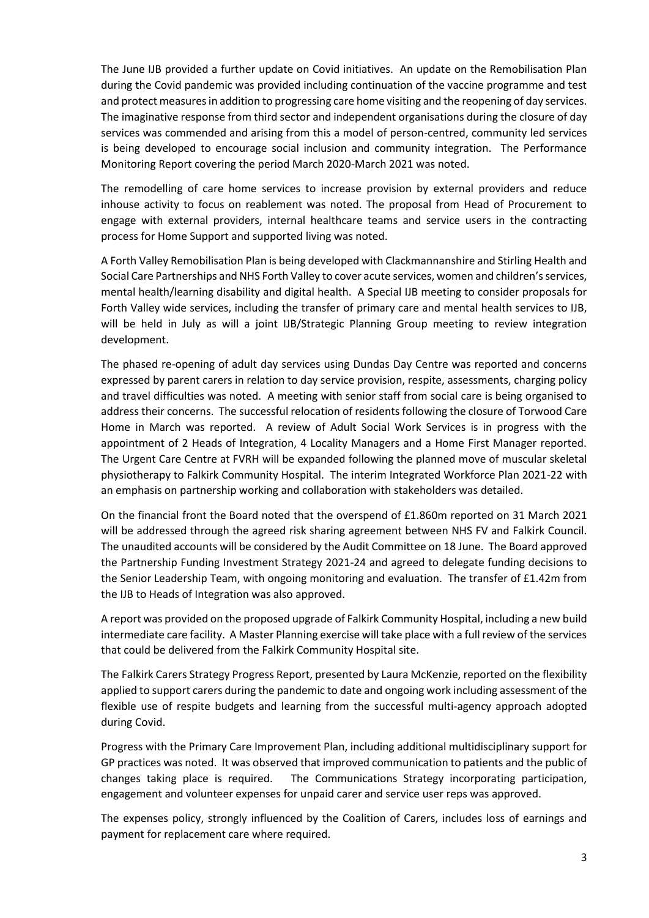The June IJB provided a further update on Covid initiatives. An update on the Remobilisation Plan during the Covid pandemic was provided including continuation of the vaccine programme and test and protect measures in addition to progressing care home visiting and the reopening of day services. The imaginative response from third sector and independent organisations during the closure of day services was commended and arising from this a model of person-centred, community led services is being developed to encourage social inclusion and community integration. The Performance Monitoring Report covering the period March 2020-March 2021 was noted.

The remodelling of care home services to increase provision by external providers and reduce inhouse activity to focus on reablement was noted. The proposal from Head of Procurement to engage with external providers, internal healthcare teams and service users in the contracting process for Home Support and supported living was noted.

A Forth Valley Remobilisation Plan is being developed with Clackmannanshire and Stirling Health and Social Care Partnerships and NHS Forth Valley to cover acute services, women and children's services, mental health/learning disability and digital health. A Special IJB meeting to consider proposals for Forth Valley wide services, including the transfer of primary care and mental health services to IJB, will be held in July as will a joint IJB/Strategic Planning Group meeting to review integration development.

The phased re-opening of adult day services using Dundas Day Centre was reported and concerns expressed by parent carers in relation to day service provision, respite, assessments, charging policy and travel difficulties was noted. A meeting with senior staff from social care is being organised to address their concerns. The successful relocation of residents following the closure of Torwood Care Home in March was reported. A review of Adult Social Work Services is in progress with the appointment of 2 Heads of Integration, 4 Locality Managers and a Home First Manager reported. The Urgent Care Centre at FVRH will be expanded following the planned move of muscular skeletal physiotherapy to Falkirk Community Hospital. The interim Integrated Workforce Plan 2021-22 with an emphasis on partnership working and collaboration with stakeholders was detailed.

On the financial front the Board noted that the overspend of £1.860m reported on 31 March 2021 will be addressed through the agreed risk sharing agreement between NHS FV and Falkirk Council. The unaudited accounts will be considered by the Audit Committee on 18 June. The Board approved the Partnership Funding Investment Strategy 2021-24 and agreed to delegate funding decisions to the Senior Leadership Team, with ongoing monitoring and evaluation. The transfer of £1.42m from the IJB to Heads of Integration was also approved.

A report was provided on the proposed upgrade of Falkirk Community Hospital, including a new build intermediate care facility. A Master Planning exercise will take place with a full review of the services that could be delivered from the Falkirk Community Hospital site.

The Falkirk Carers Strategy Progress Report, presented by Laura McKenzie, reported on the flexibility applied to support carers during the pandemic to date and ongoing work including assessment of the flexible use of respite budgets and learning from the successful multi-agency approach adopted during Covid.

Progress with the Primary Care Improvement Plan, including additional multidisciplinary support for GP practices was noted. It was observed that improved communication to patients and the public of changes taking place is required. The Communications Strategy incorporating participation, engagement and volunteer expenses for unpaid carer and service user reps was approved.

The expenses policy, strongly influenced by the Coalition of Carers, includes loss of earnings and payment for replacement care where required.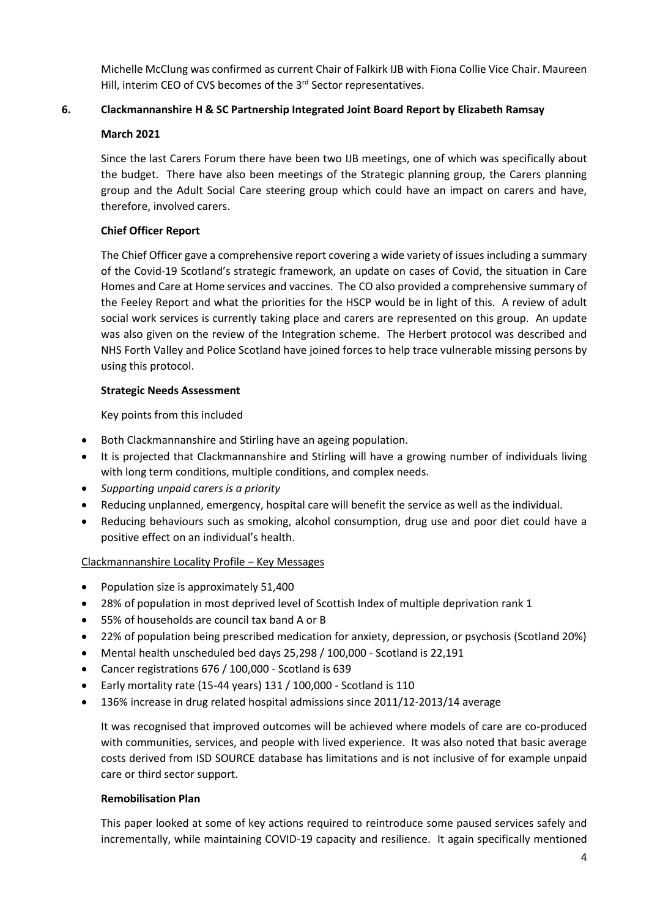Michelle McClung was confirmed as current Chair of Falkirk IJB with Fiona Collie Vice Chair. Maureen Hill, interim CEO of CVS becomes of the 3<sup>rd</sup> Sector representatives.

# **6. Clackmannanshire H & SC Partnership Integrated Joint Board Report by Elizabeth Ramsay**

## **March 2021**

Since the last Carers Forum there have been two IJB meetings, one of which was specifically about the budget. There have also been meetings of the Strategic planning group, the Carers planning group and the Adult Social Care steering group which could have an impact on carers and have, therefore, involved carers.

## **Chief Officer Report**

The Chief Officer gave a comprehensive report covering a wide variety of issues including a summary of the Covid-19 Scotland's strategic framework, an update on cases of Covid, the situation in Care Homes and Care at Home services and vaccines. The CO also provided a comprehensive summary of the Feeley Report and what the priorities for the HSCP would be in light of this. A review of adult social work services is currently taking place and carers are represented on this group. An update was also given on the review of the Integration scheme. The Herbert protocol was described and NHS Forth Valley and Police Scotland have joined forces to help trace vulnerable missing persons by using this protocol.

## **Strategic Needs Assessment**

Key points from this included

- Both Clackmannanshire and Stirling have an ageing population.
- It is projected that Clackmannanshire and Stirling will have a growing number of individuals living with long term conditions, multiple conditions, and complex needs.
- *Supporting unpaid carers is a priority*
- Reducing unplanned, emergency, hospital care will benefit the service as well as the individual.
- Reducing behaviours such as smoking, alcohol consumption, drug use and poor diet could have a positive effect on an individual's health.

# Clackmannanshire Locality Profile – Key Messages

- Population size is approximately 51,400
- 28% of population in most deprived level of Scottish Index of multiple deprivation rank 1
- 55% of households are council tax band A or B
- 22% of population being prescribed medication for anxiety, depression, or psychosis (Scotland 20%)
- Mental health unscheduled bed days 25,298 / 100,000 Scotland is 22,191
- Cancer registrations 676 / 100,000 Scotland is 639
- Early mortality rate (15-44 years) 131 / 100,000 Scotland is 110
- 136% increase in drug related hospital admissions since 2011/12-2013/14 average

It was recognised that improved outcomes will be achieved where models of care are co-produced with communities, services, and people with lived experience. It was also noted that basic average costs derived from ISD SOURCE database has limitations and is not inclusive of for example unpaid care or third sector support.

## **Remobilisation Plan**

This paper looked at some of key actions required to reintroduce some paused services safely and incrementally, while maintaining COVID-19 capacity and resilience. It again specifically mentioned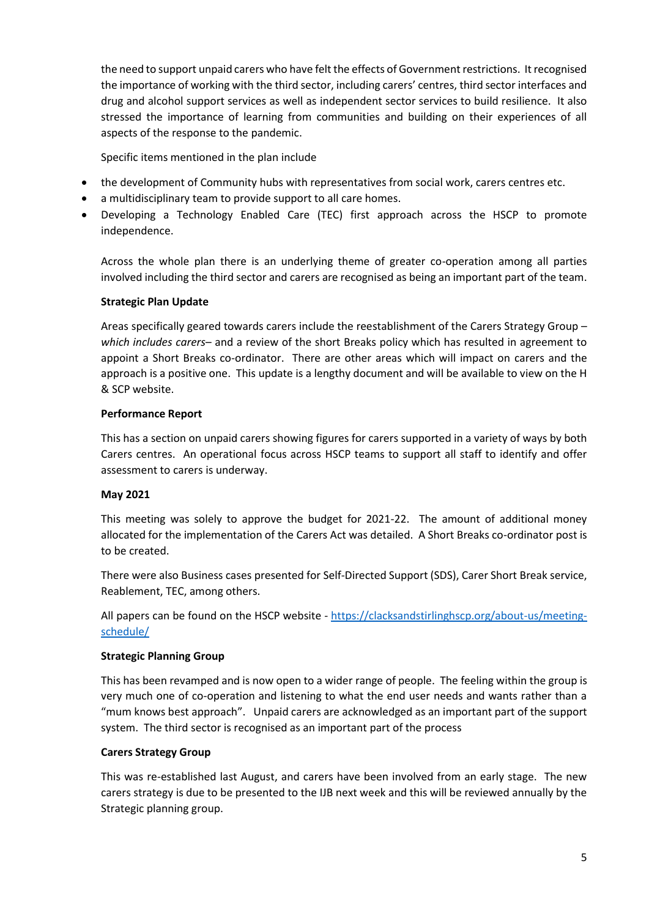the need to support unpaid carers who have felt the effects of Government restrictions. It recognised the importance of working with the third sector, including carers' centres, third sector interfaces and drug and alcohol support services as well as independent sector services to build resilience. It also stressed the importance of learning from communities and building on their experiences of all aspects of the response to the pandemic.

Specific items mentioned in the plan include

- the development of Community hubs with representatives from social work, carers centres etc.
- a multidisciplinary team to provide support to all care homes.
- Developing a Technology Enabled Care (TEC) first approach across the HSCP to promote independence.

Across the whole plan there is an underlying theme of greater co-operation among all parties involved including the third sector and carers are recognised as being an important part of the team.

### **Strategic Plan Update**

Areas specifically geared towards carers include the reestablishment of the Carers Strategy Group – *which includes carers*– and a review of the short Breaks policy which has resulted in agreement to appoint a Short Breaks co-ordinator. There are other areas which will impact on carers and the approach is a positive one. This update is a lengthy document and will be available to view on the H & SCP website.

### **Performance Report**

This has a section on unpaid carers showing figures for carers supported in a variety of ways by both Carers centres. An operational focus across HSCP teams to support all staff to identify and offer assessment to carers is underway.

### **May 2021**

This meeting was solely to approve the budget for 2021-22. The amount of additional money allocated for the implementation of the Carers Act was detailed. A Short Breaks co-ordinator post is to be created.

There were also Business cases presented for Self-Directed Support (SDS), Carer Short Break service, Reablement, TEC, among others.

All papers can be found on the HSCP website - [https://clacksandstirlinghscp.org/about-us/meeting](https://clacksandstirlinghscp.org/about-us/meeting-schedule/)[schedule/](https://clacksandstirlinghscp.org/about-us/meeting-schedule/)

### **Strategic Planning Group**

This has been revamped and is now open to a wider range of people. The feeling within the group is very much one of co-operation and listening to what the end user needs and wants rather than a "mum knows best approach". Unpaid carers are acknowledged as an important part of the support system. The third sector is recognised as an important part of the process

### **Carers Strategy Group**

This was re-established last August, and carers have been involved from an early stage. The new carers strategy is due to be presented to the IJB next week and this will be reviewed annually by the Strategic planning group.